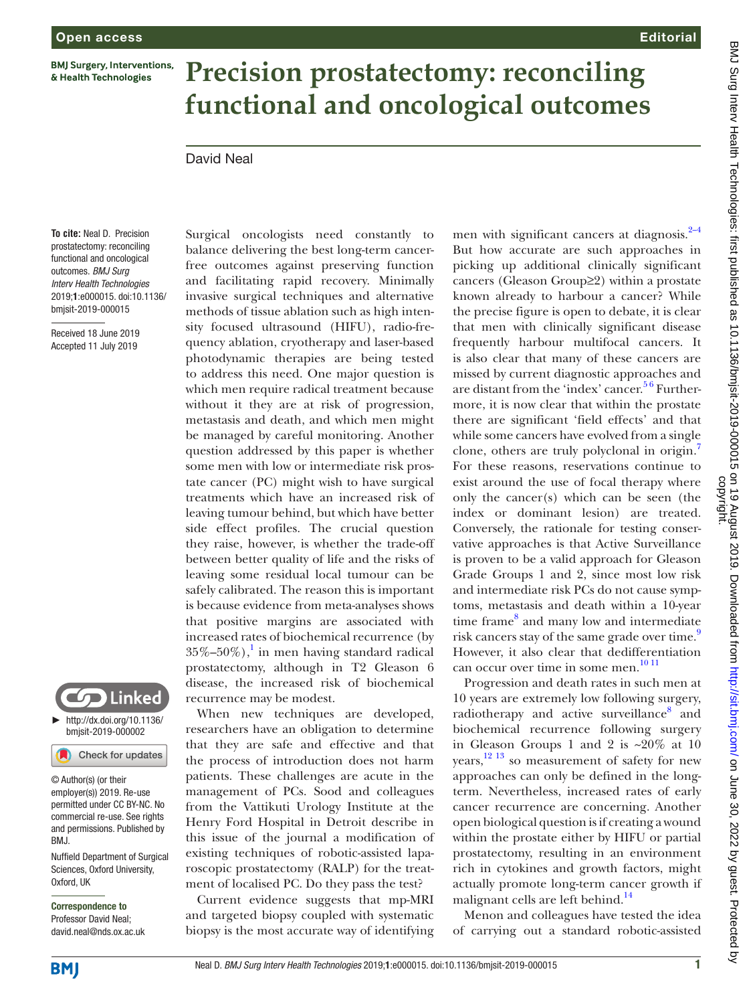**BMJ Surgery, Interventions,** & Health Technologies

## **Precision prostatectomy: reconciling functional and oncological outcomes**

## David Neal

**To cite:** Neal D. Precision prostatectomy: reconciling functional and oncological outcomes. *BMJ Surg Interv Health Technologies* 2019;1:e000015. doi:10.1136/ bmjsit-2019-000015

Received 18 June 2019 Accepted 11 July 2019



© Author(s) (or their employer(s)) 2019. Re-use permitted under CC BY-NC. No commercial re-use. See rights and permissions. Published by BMJ.

Nuffield Department of Surgical Sciences, Oxford University, Oxford, UK

Correspondence to Professor David Neal; david.neal@nds.ox.ac.uk Surgical oncologists need constantly to balance delivering the best long-term cancerfree outcomes against preserving function and facilitating rapid recovery. Minimally invasive surgical techniques and alternative methods of tissue ablation such as high intensity focused ultrasound (HIFU), radio-frequency ablation, cryotherapy and laser-based photodynamic therapies are being tested to address this need. One major question is which men require radical treatment because without it they are at risk of progression, metastasis and death, and which men might be managed by careful monitoring. Another question addressed by this paper is whether some men with low or intermediate risk prostate cancer (PC) might wish to have surgical treatments which have an increased risk of leaving tumour behind, but which have better side effect profiles. The crucial question they raise, however, is whether the trade-off between better quality of life and the risks of leaving some residual local tumour can be safely calibrated. The reason this is important is because evidence from meta-analyses shows that positive margins are associated with increased rates of biochemical recurrence (by  $35\% - 50\%)$ , in men having standard radical prostatectomy, although in T2 Gleason 6 disease, the increased risk of biochemical recurrence may be modest.

When new techniques are developed, researchers have an obligation to determine that they are safe and effective and that the process of introduction does not harm patients. These challenges are acute in the management of PCs. Sood and colleagues from the Vattikuti Urology Institute at the Henry Ford Hospital in Detroit describe in this issue of the journal a modification of existing techniques of robotic-assisted laparoscopic prostatectomy (RALP) for the treatment of localised PC. Do they pass the test?

Current evidence suggests that mp-MRI and targeted biopsy coupled with systematic biopsy is the most accurate way of identifying

men with significant cancers at diagnosis. $2-4$ But how accurate are such approaches in picking up additional clinically significant cancers (Gleason Group≥2) within a prostate known already to harbour a cancer? While the precise figure is open to debate, it is clear that men with clinically significant disease frequently harbour multifocal cancers. It is also clear that many of these cancers are missed by current diagnostic approaches and are distant from the 'index' cancer.<sup>56</sup> Furthermore, it is now clear that within the prostate there are significant 'field effects' and that while some cancers have evolved from a single clone, others are truly polyclonal in origin. For these reasons, reservations continue to exist around the use of focal therapy where only the cancer(s) which can be seen (the index or dominant lesion) are treated. Conversely, the rationale for testing conservative approaches is that Active Surveillance is proven to be a valid approach for Gleason Grade Groups 1 and 2, since most low risk and intermediate risk PCs do not cause symptoms, metastasis and death within a 10-year time frame<sup>[8](#page-1-4)</sup> and many low and intermediate risk cancers stay of the same grade over time.<sup>[9](#page-1-5)</sup> However, it also clear that dedifferentiation can occur over time in some men.<sup>[10 11](#page-1-6)</sup>

Progression and death rates in such men at 10 years are extremely low following surgery, radiotherapy and active surveillance<sup>[8](#page-1-4)</sup> and biochemical recurrence following surgery in Gleason Groups 1 and 2 is  $\approx 20\%$  at 10 years, $12^{13}$  so measurement of safety for new approaches can only be defined in the longterm. Nevertheless, increased rates of early cancer recurrence are concerning. Another open biological question is if creating a wound within the prostate either by HIFU or partial prostatectomy, resulting in an environment rich in cytokines and growth factors, might actually promote long-term cancer growth if malignant cells are left behind.<sup>[14](#page-1-8)</sup>

Menon and colleagues have tested the idea of carrying out a standard robotic-assisted